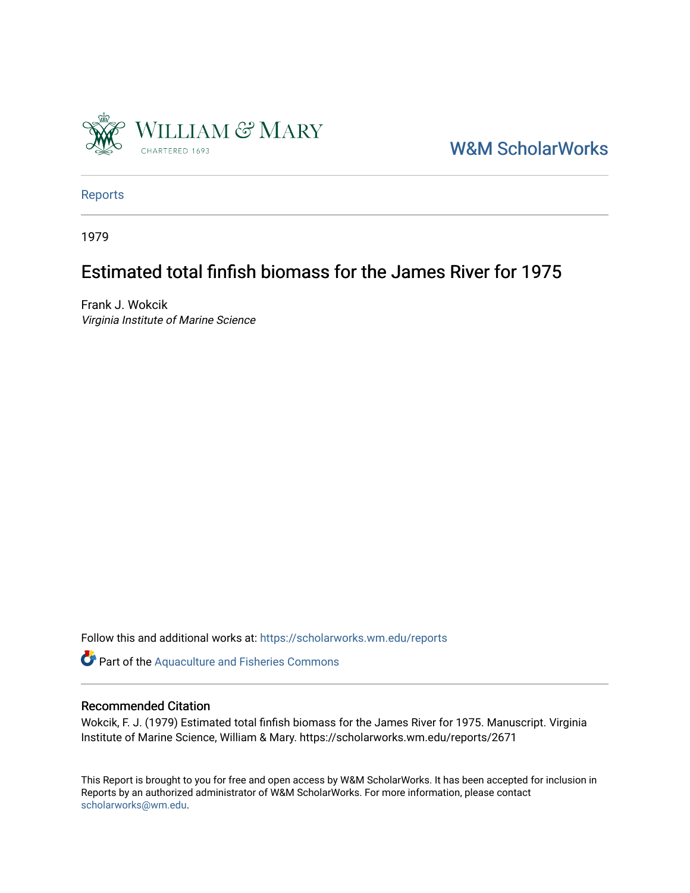

[W&M ScholarWorks](https://scholarworks.wm.edu/) 

[Reports](https://scholarworks.wm.edu/reports)

1979

## Estimated total finfish biomass for the James River for 1975

Frank J. Wokcik Virginia Institute of Marine Science

Follow this and additional works at: [https://scholarworks.wm.edu/reports](https://scholarworks.wm.edu/reports?utm_source=scholarworks.wm.edu%2Freports%2F2671&utm_medium=PDF&utm_campaign=PDFCoverPages)

Part of the [Aquaculture and Fisheries Commons](http://network.bepress.com/hgg/discipline/78?utm_source=scholarworks.wm.edu%2Freports%2F2671&utm_medium=PDF&utm_campaign=PDFCoverPages)

## Recommended Citation

Wokcik, F. J. (1979) Estimated total finfish biomass for the James River for 1975. Manuscript. Virginia Institute of Marine Science, William & Mary. https://scholarworks.wm.edu/reports/2671

This Report is brought to you for free and open access by W&M ScholarWorks. It has been accepted for inclusion in Reports by an authorized administrator of W&M ScholarWorks. For more information, please contact [scholarworks@wm.edu.](mailto:scholarworks@wm.edu)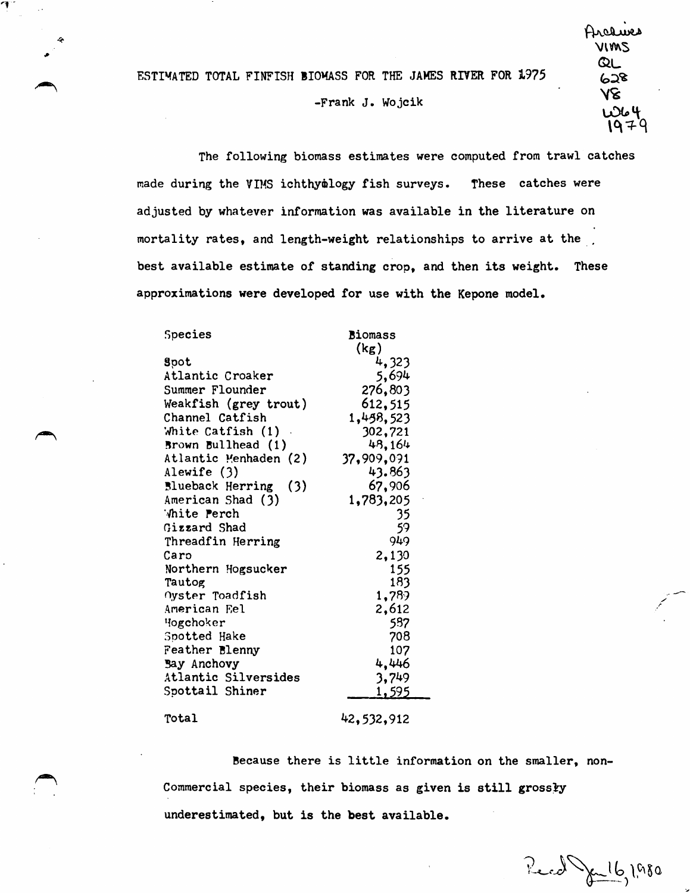ESTIWATED TOTAL FINFISH BIOWASS FOR THE JAMES RIVER FOR 1975

## -Frank J. Wojcik

The following biomass estimates were computed from trawl catches made during the VIMS ichthymlogy fish surveys. These catches were adjusted by whatever information was available in the literature on mortality rates, and length-weight relationships to arrive at the best available estimate of standing crop, and then its weight. These approximations **were** developed for use with the Kepone model.

| Species                 | <b>Biomass</b> |
|-------------------------|----------------|
|                         | (kg)           |
| Spot                    | 4,323          |
| Atlantic Croaker        | 5,694          |
| Summer Flounder         | 276,803        |
| Weakfish (grey trout)   | 612,515        |
| Channel Catfish         | 1,458,523      |
| White Catfish $(1)$ .   | 302,721        |
| Brown Bullhead (1)      | 48.164         |
| Atlantic Menhaden (2)   | 37,909,091     |
| Alewife (3)             | 43.863         |
| Blueback Herring<br>(3) | 67,906         |
| American Shad (3)       | 1,783,205      |
| White Perch             | 35             |
| Gizzard Shad            | 59             |
| Threadfin Herring       | 949            |
| Caro                    | 2,130          |
| Northern Hogsucker      | 155            |
| Tautog                  | 183            |
| Oyster Toadfish         | 1,789          |
| American Eel            | 2,612          |
| Hogchoker               | 587            |
| Spotted Hake            | 708            |
| Feather Blenny          | 107            |
| Bay Anchovy             | 4,446          |
| Atlantic Silversides    | 3,749          |
| Spottail Shiner         | <u>1,595</u>   |
|                         |                |

## Total

7

42,5)2,912

Because there is little information on the smaller, non-Commercial species, their biomass as given is still grossly underestimated, but is the **best** available.

Red July 1,980

/ .-- /·

Arcawes \JW'AS  $Q_L$ ~:>.~ १४  $78$ <br> $104$  $1979$